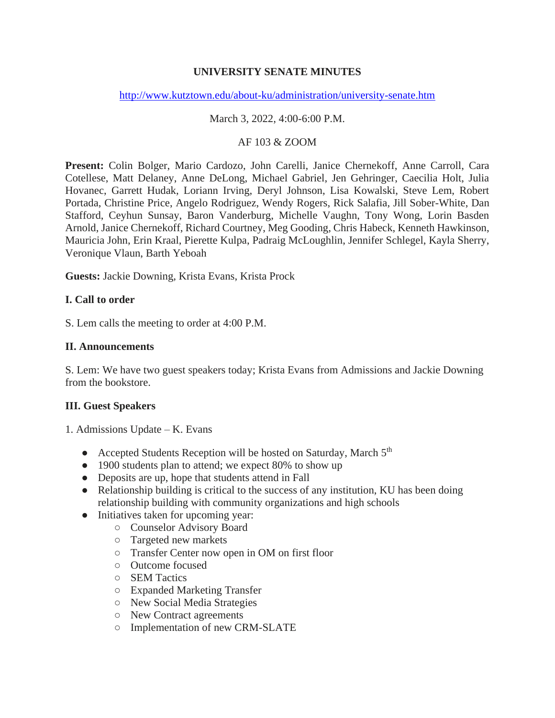# **UNIVERSITY SENATE MINUTES**

### <http://www.kutztown.edu/about-ku/administration/university-senate.htm>

### March 3, 2022, 4:00-6:00 P.M.

#### AF 103 & ZOOM

**Present:** Colin Bolger, Mario Cardozo, John Carelli, Janice Chernekoff, Anne Carroll, Cara Cotellese, Matt Delaney, Anne DeLong, Michael Gabriel, Jen Gehringer, Caecilia Holt, Julia Hovanec, Garrett Hudak, Loriann Irving, Deryl Johnson, Lisa Kowalski, Steve Lem, Robert Portada, Christine Price, Angelo Rodriguez, Wendy Rogers, Rick Salafia, Jill Sober-White, Dan Stafford, Ceyhun Sunsay, Baron Vanderburg, Michelle Vaughn, Tony Wong, Lorin Basden Arnold, Janice Chernekoff, Richard Courtney, Meg Gooding, Chris Habeck, Kenneth Hawkinson, Mauricia John, Erin Kraal, Pierette Kulpa, Padraig McLoughlin, Jennifer Schlegel, Kayla Sherry, Veronique Vlaun, Barth Yeboah

**Guests:** Jackie Downing, Krista Evans, Krista Prock

#### **I. Call to order**

S. Lem calls the meeting to order at 4:00 P.M.

### **II. Announcements**

S. Lem: We have two guest speakers today; Krista Evans from Admissions and Jackie Downing from the bookstore.

# **III. Guest Speakers**

- 1. Admissions Update K. Evans
	- Accepted Students Reception will be hosted on Saturday, March 5<sup>th</sup>
	- 1900 students plan to attend; we expect 80% to show up
	- Deposits are up, hope that students attend in Fall
	- Relationship building is critical to the success of any institution, KU has been doing relationship building with community organizations and high schools
	- Initiatives taken for upcoming year:
		- Counselor Advisory Board
		- Targeted new markets
		- Transfer Center now open in OM on first floor
		- Outcome focused
		- SEM Tactics
		- Expanded Marketing Transfer
		- New Social Media Strategies
		- New Contract agreements
		- Implementation of new CRM-SLATE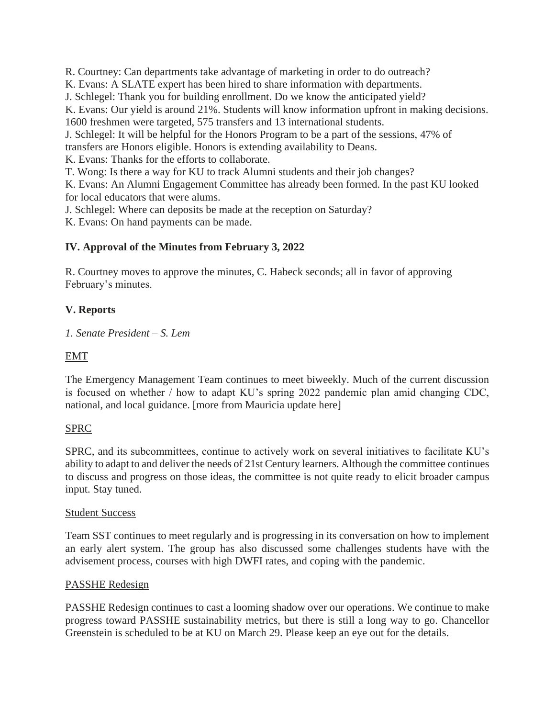R. Courtney: Can departments take advantage of marketing in order to do outreach?

K. Evans: A SLATE expert has been hired to share information with departments.

J. Schlegel: Thank you for building enrollment. Do we know the anticipated yield?

K. Evans: Our yield is around 21%. Students will know information upfront in making decisions. 1600 freshmen were targeted, 575 transfers and 13 international students.

J. Schlegel: It will be helpful for the Honors Program to be a part of the sessions, 47% of

transfers are Honors eligible. Honors is extending availability to Deans.

K. Evans: Thanks for the efforts to collaborate.

T. Wong: Is there a way for KU to track Alumni students and their job changes?

K. Evans: An Alumni Engagement Committee has already been formed. In the past KU looked for local educators that were alums.

J. Schlegel: Where can deposits be made at the reception on Saturday?

K. Evans: On hand payments can be made.

# **IV. Approval of the Minutes from February 3, 2022**

R. Courtney moves to approve the minutes, C. Habeck seconds; all in favor of approving February's minutes.

# **V. Reports**

*1. Senate President – S. Lem* 

## EMT

The Emergency Management Team continues to meet biweekly. Much of the current discussion is focused on whether / how to adapt KU's spring 2022 pandemic plan amid changing CDC, national, and local guidance. [more from Mauricia update here]

#### SPRC

SPRC, and its subcommittees, continue to actively work on several initiatives to facilitate KU's ability to adapt to and deliver the needs of 21st Century learners. Although the committee continues to discuss and progress on those ideas, the committee is not quite ready to elicit broader campus input. Stay tuned.

#### Student Success

Team SST continues to meet regularly and is progressing in its conversation on how to implement an early alert system. The group has also discussed some challenges students have with the advisement process, courses with high DWFI rates, and coping with the pandemic.

#### PASSHE Redesign

PASSHE Redesign continues to cast a looming shadow over our operations. We continue to make progress toward PASSHE sustainability metrics, but there is still a long way to go. Chancellor Greenstein is scheduled to be at KU on March 29. Please keep an eye out for the details.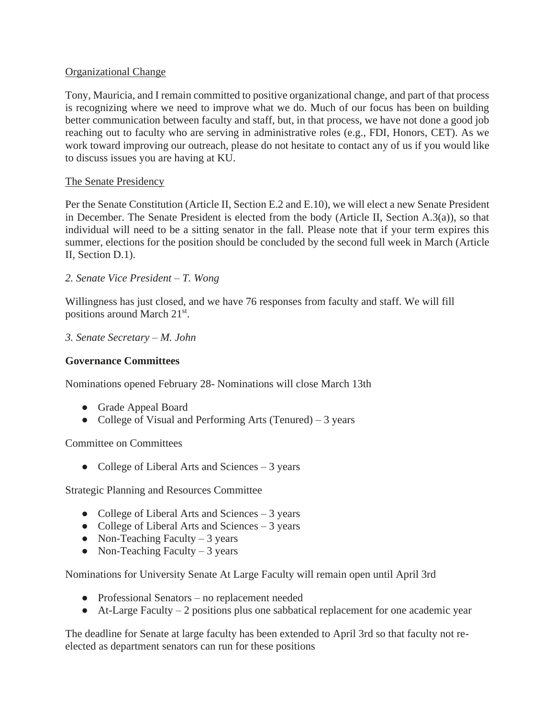## Organizational Change

Tony, Mauricia, and I remain committed to positive organizational change, and part of that process is recognizing where we need to improve what we do. Much of our focus has been on building better communication between faculty and staff, but, in that process, we have not done a good job reaching out to faculty who are serving in administrative roles (e.g., FDI, Honors, CET). As we work toward improving our outreach, please do not hesitate to contact any of us if you would like to discuss issues you are having at KU.

## The Senate Presidency

Per the Senate Constitution (Article II, Section E.2 and E.10), we will elect a new Senate President in December. The Senate President is elected from the body (Article II, Section A.3(a)), so that individual will need to be a sitting senator in the fall. Please note that if your term expires this summer, elections for the position should be concluded by the second full week in March (Article II, Section D.1).

*2. Senate Vice President – T. Wong* 

Willingness has just closed, and we have 76 responses from faculty and staff. We will fill positions around March 21<sup>st</sup>.

*3. Senate Secretary – M. John* 

## **Governance Committees**

Nominations opened February 28- Nominations will close March 13th

- Grade Appeal Board
- College of Visual and Performing Arts (Tenured) 3 years

Committee on Committees

• College of Liberal Arts and Sciences – 3 years

Strategic Planning and Resources Committee

- College of Liberal Arts and Sciences 3 years
- College of Liberal Arts and Sciences  $-3$  years
- Non-Teaching Faculty  $-3$  years
- Non-Teaching Faculty  $-3$  years

Nominations for University Senate At Large Faculty will remain open until April 3rd

- Professional Senators no replacement needed
- $\bullet$  At-Large Faculty 2 positions plus one sabbatical replacement for one academic year

The deadline for Senate at large faculty has been extended to April 3rd so that faculty not reelected as department senators can run for these positions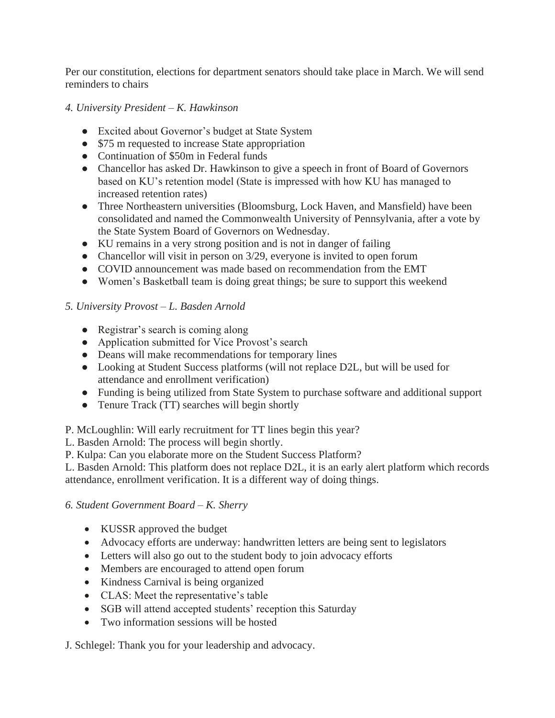Per our constitution, elections for department senators should take place in March. We will send reminders to chairs

# *4. University President – K. Hawkinson*

- Excited about Governor's budget at State System
- \$75 m requested to increase State appropriation
- Continuation of \$50m in Federal funds
- Chancellor has asked Dr. Hawkinson to give a speech in front of Board of Governors based on KU's retention model (State is impressed with how KU has managed to increased retention rates)
- Three Northeastern universities (Bloomsburg, Lock Haven, and Mansfield) have been consolidated and named the Commonwealth University of Pennsylvania, after a vote by the State System Board of Governors on Wednesday.
- KU remains in a very strong position and is not in danger of failing
- Chancellor will visit in person on  $3/29$ , everyone is invited to open forum
- COVID announcement was made based on recommendation from the EMT
- Women's Basketball team is doing great things; be sure to support this weekend

# *5. University Provost – L. Basden Arnold*

- Registrar's search is coming along
- Application submitted for Vice Provost's search
- Deans will make recommendations for temporary lines
- Looking at Student Success platforms (will not replace D2L, but will be used for attendance and enrollment verification)
- Funding is being utilized from State System to purchase software and additional support
- Tenure Track (TT) searches will begin shortly
- P. McLoughlin: Will early recruitment for TT lines begin this year?
- L. Basden Arnold: The process will begin shortly.
- P. Kulpa: Can you elaborate more on the Student Success Platform?

L. Basden Arnold: This platform does not replace D2L, it is an early alert platform which records attendance, enrollment verification. It is a different way of doing things.

# *6. Student Government Board – K. Sherry*

- KUSSR approved the budget
- Advocacy efforts are underway: handwritten letters are being sent to legislators
- Letters will also go out to the student body to join advocacy efforts
- Members are encouraged to attend open forum
- Kindness Carnival is being organized
- CLAS: Meet the representative's table
- SGB will attend accepted students' reception this Saturday
- Two information sessions will be hosted

J. Schlegel: Thank you for your leadership and advocacy.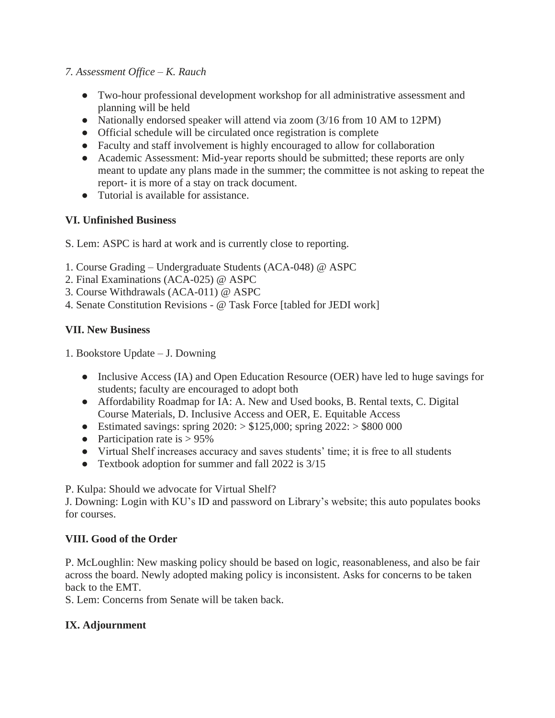## *7. Assessment Office – K. Rauch*

- Two-hour professional development workshop for all administrative assessment and planning will be held
- Nationally endorsed speaker will attend via zoom (3/16 from 10 AM to 12PM)
- Official schedule will be circulated once registration is complete
- Faculty and staff involvement is highly encouraged to allow for collaboration
- Academic Assessment: Mid-year reports should be submitted; these reports are only meant to update any plans made in the summer; the committee is not asking to repeat the report- it is more of a stay on track document.
- Tutorial is available for assistance.

# **VI. Unfinished Business**

- S. Lem: ASPC is hard at work and is currently close to reporting.
- 1. Course Grading Undergraduate Students (ACA-048) @ ASPC
- 2. Final Examinations (ACA-025) @ ASPC
- 3. Course Withdrawals (ACA-011) @ ASPC
- 4. Senate Constitution Revisions @ Task Force [tabled for JEDI work]

# **VII. New Business**

- 1. Bookstore Update J. Downing
	- Inclusive Access (IA) and Open Education Resource (OER) have led to huge savings for students; faculty are encouraged to adopt both
	- Affordability Roadmap for IA: A. New and Used books, B. Rental texts, C. Digital Course Materials, D. Inclusive Access and OER, E. Equitable Access
	- Estimated savings: spring  $2020:$  > \$125,000; spring  $2022:$  > \$800 000
	- Participation rate is  $> 95\%$
	- Virtual Shelf increases accuracy and saves students' time; it is free to all students
	- Textbook adoption for summer and fall 2022 is 3/15

P. Kulpa: Should we advocate for Virtual Shelf?

J. Downing: Login with KU's ID and password on Library's website; this auto populates books for courses.

# **VIII. Good of the Order**

P. McLoughlin: New masking policy should be based on logic, reasonableness, and also be fair across the board. Newly adopted making policy is inconsistent. Asks for concerns to be taken back to the EMT.

S. Lem: Concerns from Senate will be taken back.

# **IX. Adjournment**